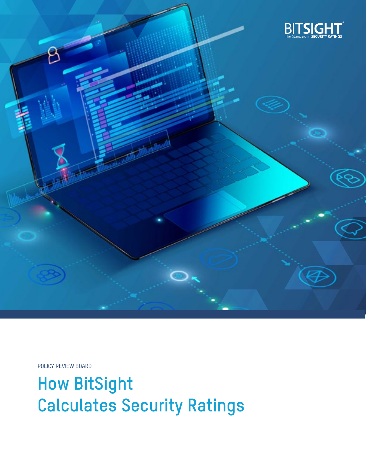

POLICY REVIEW BOARD

**How BitSight Calculates Security Ratings**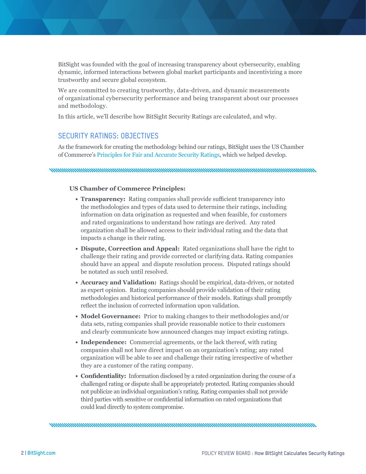BitSight was founded with the goal of increasing transparency about cybersecurity, enabling dynamic, informed interactions between global market participants and incentivizing a more trustworthy and secure global ecosystem.

We are committed to creating trustworthy, data-driven, and dynamic measurements of organizational cybersecurity performance and being transparent about our processes and methodology.

In this article, we'll describe how BitSight Security Ratings are calculated, and why.

#### SECURITY RATINGS: OBJECTIVES

As the framework for creating the methodology behind our ratings, BitSight uses the US Chamber of Commerce's [Principles for Fair and Accurate Security Ratings](https://www.uschamber.com/issue-brief/principles-fair-and-accurate-security-ratings), which we helped develop.

#### **US Chamber of Commerce Principles:**

- **• Transparency:** Rating companies shall provide sufficient transparency into the methodologies and types of data used to determine their ratings, including information on data origination as requested and when feasible, for customers and rated organizations to understand how ratings are derived. Any rated organization shall be allowed access to their individual rating and the data that impacts a change in their rating.
- **• Dispute, Correction and Appeal:** Rated organizations shall have the right to challenge their rating and provide corrected or clarifying data. Rating companies should have an appeal and dispute resolution process. Disputed ratings should be notated as such until resolved.
- **• Accuracy and Validation:** Ratings should be empirical, data-driven, or notated as expert opinion. Rating companies should provide validation of their rating methodologies and historical performance of their models. Ratings shall promptly reflect the inclusion of corrected information upon validation.
- **• Model Governance:** Prior to making changes to their methodologies and/or data sets, rating companies shall provide reasonable notice to their customers and clearly communicate how announced changes may impact existing ratings.
- **• Independence:** Commercial agreements, or the lack thereof, with rating companies shall not have direct impact on an organization's rating; any rated organization will be able to see and challenge their rating irrespective of whether they are a customer of the rating company.
- **• Confidentiality:** Information disclosed by a rated organization during the course of a challenged rating or dispute shall be appropriately protected. Rating companies should not publicize an individual organization's rating. Rating companies shall not provide third parties with sensitive or confidential information on rated organizations that could lead directly to system compromise.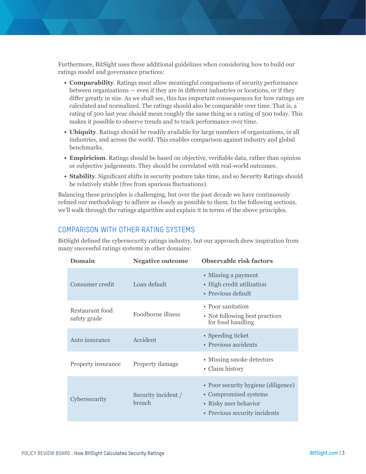Furthermore, BitSight uses these additional guidelines when considering how to build our ratings model and governance practices:

- **• Comparability**. Ratings must allow meaningful comparisons of security performance between organizations — even if they are in different industries or locations, or if they differ greatly in size. As we shall see, this has important consequences for how ratings are calculated and normalized. The ratings should also be comparable over time. That is, a rating of 500 last year should mean roughly the same thing as a rating of 500 today. This makes it possible to observe trends and to track performance over time.
- **• Ubiquity**. Ratings should be readily available for large numbers of organizations, in all industries, and across the world. This enables comparison against industry and global benchmarks.
- **• Empiricism**. Ratings should be based on objective, verifiable data, rather than opinion or subjective judgements. They should be correlated with real-world outcomes.
- **• Stability**. Significant shifts in security posture take time, and so Security Ratings should be relatively stable (free from spurious fluctuations).

Balancing these principles is challenging, but over the past decade we have continuously refined our methodology to adhere as closely as possible to them. In the following sections, we'll walk through the ratings algorithm and explain it in terms of the above principles.

### COMPARISON WITH OTHER RATING SYSTEMS

BitSight defined the cybersecurity ratings industry, but our approach drew inspiration from many successful ratings systems in other domains:

| Domain                          | <b>Negative outcome</b>       | <b>Observable risk factors</b>                                                                                         |
|---------------------------------|-------------------------------|------------------------------------------------------------------------------------------------------------------------|
| Consumer credit                 | Loan default                  | • Missing a payment<br>• High credit utilization<br>• Previous default                                                 |
| Restaurant food<br>safety grade | Foodborne illness             | • Poor sanitation<br>• Not following best practices<br>for food handling                                               |
| Auto insurance                  | Accident                      | • Speeding ticket<br>• Previous accidents                                                                              |
| Property insurance              | Property damage               | • Missing smoke detectors<br>• Claim history                                                                           |
| Cybersecurity                   | Security incident /<br>breach | • Poor security hygiene (diligence)<br>• Compromised systems<br>• Risky user behavior<br>• Previous security incidents |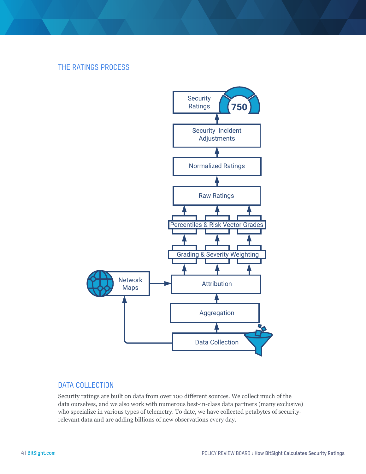# THE RATINGS PROCESS



#### DATA COLLECTION

Security ratings are built on data from over 100 different sources. We collect much of the data ourselves, and we also work with numerous best-in-class data partners (many exclusive) who specialize in various types of telemetry. To date, we have collected petabytes of securityrelevant data and are adding billions of new observations every day.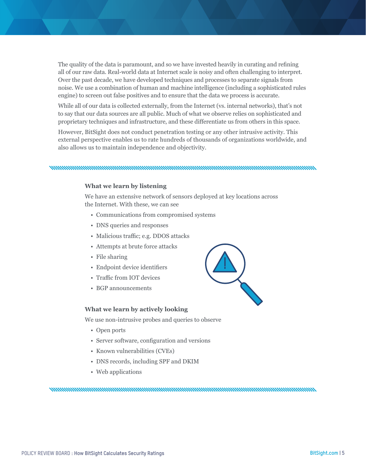The quality of the data is paramount, and so we have invested heavily in curating and refining all of our raw data. Real-world data at Internet scale is noisy and often challenging to interpret. Over the past decade, we have developed techniques and processes to separate signals from noise. We use a combination of human and machine intelligence (including a sophisticated rules engine) to screen out false positives and to ensure that the data we process is accurate.

While all of our data is collected externally, from the Internet (vs. internal networks), that's not to say that our data sources are all public. Much of what we observe relies on sophisticated and proprietary techniques and infrastructure, and these differentiate us from others in this space.

However, BitSight does not conduct penetration testing or any other intrusive activity. This external perspective enables us to rate hundreds of thousands of organizations worldwide, and also allows us to maintain independence and objectivity.

nonnummuunnummuunnummuunnummuunnummuunnummuunnummuunnum

#### **What we learn by listening**

We have an extensive network of sensors deployed at key locations across the Internet. With these, we can see

- Communications from compromised systems
- DNS queries and responses
- Malicious traffic; e.g. DDOS attacks
- Attempts at brute force attacks
- File sharing
- Endpoint device identifiers
- Traffic from IOT devices
- BGP announcements

#### **What we learn by actively looking**

We use non-intrusive probes and queries to observe

- Open ports
- Server software, configuration and versions
- Known vulnerabilities (CVEs)
- DNS records, including SPF and DKIM
- Web applications

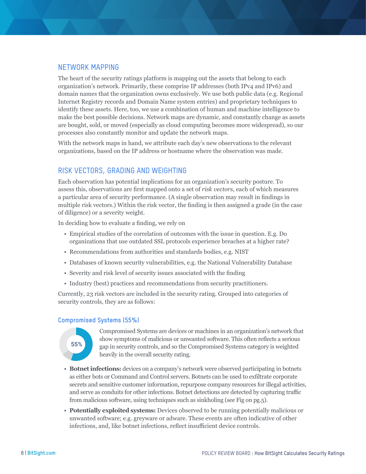## NETWORK MAPPING

The heart of the security ratings platform is mapping out the assets that belong to each organization's network. Primarily, these comprise IP addresses (both IPv4 and IPv6) and domain names that the organization owns exclusively. We use both public data (e.g. Regional Internet Registry records and Domain Name system entries) and proprietary techniques to identify these assets. Here, too, we use a combination of human and machine intelligence to make the best possible decisions. Network maps are dynamic, and constantly change as assets are bought, sold, or moved (especially as cloud computing becomes more widespread), so our processes also constantly monitor and update the network maps.

With the network maps in hand, we attribute each day's new observations to the relevant organizations, based on the IP address or hostname where the observation was made.

## RISK VECTORS, GRADING AND WEIGHTING

Each observation has potential implications for an organization's security posture. To assess this, observations are first mapped onto a set of *risk vectors*, each of which measures a particular area of security performance. (A single observation may result in findings in multiple risk vectors.) Within the risk vector, the finding is then assigned a grade (in the case of diligence) or a severity weight.

In deciding how to evaluate a finding, we rely on

- Empirical studies of the correlation of outcomes with the issue in question. E.g. Do organizations that use outdated SSL protocols experience breaches at a higher rate?
- Recommendations from authorities and standards bodies, e.g. NIST
- Databases of known security vulnerabilities, e.g. the National Vulnerability Database
- Severity and risk level of security issues associated with the finding
- Industry (best) practices and recommendations from security practitioners.

Currently, 23 risk vectors are included in the security rating. Grouped into categories of security controls, they are as follows:

#### **Compromised Systems (55%)**



**55%** gap in security controls, and so the Compromised Systems category is weighted Compromised Systems are devices or machines in an organization's network that show symptoms of malicious or unwanted software. This often reflects a serious heavily in the overall security rating.

- **Botnet infections:** devices on a company's network were observed participating in botnets as either bots or Command and Control servers. Botnets can be used to exfiltrate corporate secrets and sensitive customer information, repurpose company resources for illegal activities, and serve as conduits for other infections. Botnet detections are detected by capturing traffic from malicious software, using techniques such as sinkholing (see Fig on pg.5).
- raction of Companies Breached<br>Breached • **Potentially exploited systems:** Devices observed to be running potentially malicious or 2.37% unwanted software; e.g. greyware or adware. These events are often indicative of other infections, and, like botnet infections, reflect insufficient device controls.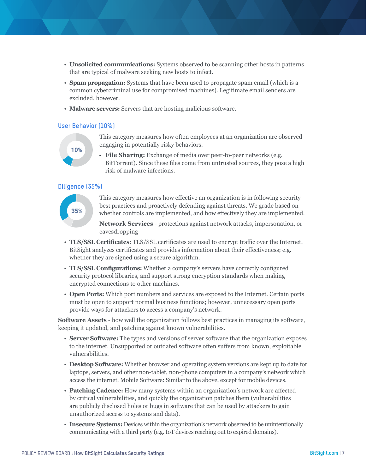- **Unsolicited communications:** Systems observed to be scanning other hosts in patterns that are typical of malware seeking new hosts to infect.
- **Spam propagation:** Systems that have been used to propagate spam email (which is a common cybercriminal use for compromised machines). Legitimate email senders are excluded, however.
- **Malware servers:** Servers that are hosting malicious software.

#### **User Behavior (10%)**



This category measures how often employees at an organization are observed engaging in potentially risky behaviors.

 **File Sharing:** Exchange of media over peer-to-peer networks (e.g. BitTorrent). Since these files come from untrusted sources, they pose a high risk of malware infections.

#### **Diligence (35%)**



This category measures how effective an organization is in following security best practices and proactively defending against threats. We grade based on whether controls are implemented, and how effectively they are implemented.

**Network Services** - protections against network attacks, impersonation, or eavesdropping

- whether they are signed using a secure algorithm. • **TLS/SSL Certificates:** TLS/SSL certificates are used to encrypt traffic over the Internet. BitSight analyzes certificates and provides information about their effectiveness; e.g.
	- **TLS/SSL Configurations:** Whether a company's servers have correctly configured security protocol libraries, and support strong encryption standards when making encrypted connections to other machines.
	- **Open Ports:** Which port numbers and services are exposed to the Internet. Certain ports must be open to support normal business functions; however, unnecessary open ports provide ways for attackers to access a company's network.

**Software Assets** - how well the organization follows best practices in managing its software, keeping it updated, and patching against known vulnerabilities.

- **Server Software:** The types and versions of server software that the organization exposes to the internet. Unsupported or outdated software often suffers from known, exploitable vulnerabilities.
- **Desktop Software:** Whether browser and operating system versions are kept up to date for laptops, servers, and other non-tablet, non-phone computers in a company's network which access the internet. Mobile Software: Similar to the above, except for mobile devices.
- **Patching Cadence:** How many systems within an organization's network are affected by critical vulnerabilities, and quickly the organization patches them (vulnerabilities are publicly disclosed holes or bugs in software that can be used by attackers to gain unauthorized access to systems and data).
- **Insecure Systems:** Devices within the organization's network observed to be unintentionally communicating with a third party (e.g. IoT devices reaching out to expired domains).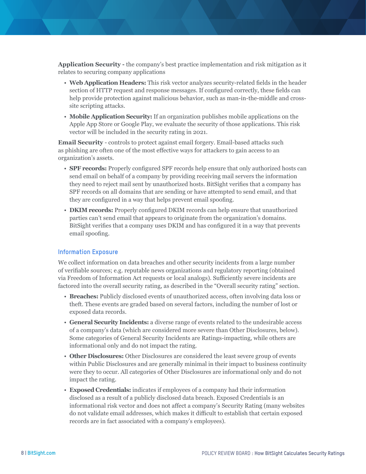**Application Security -** the company's best practice implementation and risk mitigation as it relates to securing company applications

- **Web Application Headers:** This risk vector analyzes security-related fields in the header section of HTTP request and response messages. If configured correctly, these fields can help provide protection against malicious behavior, such as man-in-the-middle and crosssite scripting attacks.
- **Mobile Application Security:** If an organization publishes mobile applications on the Apple App Store or Google Play, we evaluate the security of those applications. This risk vector will be included in the security rating in 2021.

**Email Security** - controls to protect against email forgery. Email-based attacks such as phishing are often one of the most effective ways for attackers to gain access to an organization's assets.

- **SPF records:** Properly configured SPF records help ensure that only authorized hosts can send email on behalf of a company by providing receiving mail servers the information they need to reject mail sent by unauthorized hosts. BitSight verifies that a company has SPF records on all domains that are sending or have attempted to send email, and that they are configured in a way that helps prevent email spoofing.
- **DKIM records:** Properly configured DKIM records can help ensure that unauthorized parties can't send email that appears to originate from the organization's domains. BitSight verifies that a company uses DKIM and has configured it in a way that prevents email spoofing.

#### **Information Exposure**

We collect information on data breaches and other security incidents from a large number of verifiable sources; e.g. reputable news organizations and regulatory reporting (obtained via Freedom of Information Act requests or local analogs). Sufficiently severe incidents are factored into the overall security rating, as described in the "Overall security rating" section.

- **Breaches:** Publicly disclosed events of unauthorized access, often involving data loss or theft. These events are graded based on several factors, including the number of lost or exposed data records.
- **General Security Incidents:** a diverse range of events related to the undesirable access of a company's data (which are considered more severe than Other Disclosures, below). Some categories of General Security Incidents are Ratings-impacting, while others are informational only and do not impact the rating.
- **Other Disclosures:** Other Disclosures are considered the least severe group of events within Public Disclosures and are generally minimal in their impact to business continuity were they to occur. All categories of Other Disclosures are informational only and do not impact the rating.
- **Exposed Credentials:** indicates if employees of a company had their information disclosed as a result of a publicly disclosed data breach. Exposed Credentials is an informational risk vector and does not affect a company's Security Rating (many websites do not validate email addresses, which makes it difficult to establish that certain exposed records are in fact associated with a company's employees).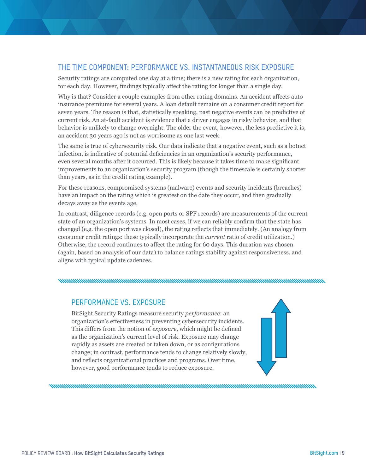# THE TIME COMPONENT: PERFORMANCE VS. INSTANTANEOUS RISK EXPOSURE

Security ratings are computed one day at a time; there is a new rating for each organization, for each day. However, findings typically affect the rating for longer than a single day.

Why is that? Consider a couple examples from other rating domains. An accident affects auto insurance premiums for several years. A loan default remains on a consumer credit report for seven years. The reason is that, statistically speaking, past negative events can be predictive of current risk. An at-fault accident is evidence that a driver engages in risky behavior, and that behavior is unlikely to change overnight. The older the event, however, the less predictive it is; an accident 30 years ago is not as worrisome as one last week.

The same is true of cybersecurity risk. Our data indicate that a negative event, such as a botnet infection, is indicative of potential deficiencies in an organization's security performance, even several months after it occurred. This is likely because it takes time to make significant improvements to an organization's security program (though the timescale is certainly shorter than years, as in the credit rating example).

For these reasons, compromised systems (malware) events and security incidents (breaches) have an impact on the rating which is greatest on the date they occur, and then gradually decays away as the events age.

In contrast, diligence records (e.g. open ports or SPF records) are measurements of the current state of an organization's systems. In most cases, if we can reliably confirm that the state has changed (e.g. the open port was closed), the rating reflects that immediately. (An analogy from consumer credit ratings: these typically incorporate the *current* ratio of credit utilization.) Otherwise, the record continues to affect the rating for 60 days. This duration was chosen (again, based on analysis of our data) to balance ratings stability against responsiveness, and aligns with typical update cadences.

## PERFORMANCE VS. EXPOSURE

BitSight Security Ratings measure security *performance*: an organization's effectiveness in preventing cybersecurity incidents. This differs from the notion of *exposure,* which might be defined as the organization's current level of risk. Exposure may change rapidly as assets are created or taken down, or as configurations change; in contrast, performance tends to change relatively slowly, and reflects organizational practices and programs. Over time, however, good performance tends to reduce exposure.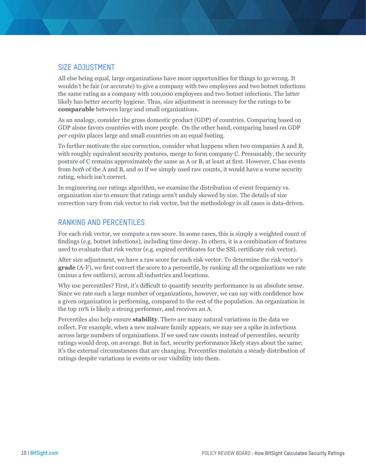### SIZE ADJUSTMENT

All else being equal, large organizations have more opportunities for things to go wrong. It wouldn't be fair (or accurate) to give a company with two employees and two botnet infections the same rating as a company with 100,000 employees and two botnet infections. The latter likely has better security hygiene. Thus, size adjustment is necessary for the ratings to be **comparable** between large and small organizations.

As an analogy, consider the gross domestic product (GDP) of countries. Comparing based on GDP alone favors countries with more people. On the other hand, comparing based on GDP *per capita* places large and small countries on an equal footing.

To further motivate the size correction, consider what happens when two companies A and B, with roughly equivalent security postures, merge to form company C. Presumably, the security posture of C remains approximately the same as A or B, at least at first. However, C has events from *both* of the A and B, and so if we simply used raw counts, it would have a worse security rating, which isn't correct.

In engineering our ratings algorithm, we examine the distribution of event frequency vs. organization size to ensure that ratings aren't unduly skewed by size. The details of size correction vary from risk vector to risk vector, but the methodology in all cases is data-driven.

### RANKING AND PERCENTILES

For each risk vector, we compute a raw score. In some cases, this is simply a weighted count of findings (e.g. botnet infections), including time decay. In others, it is a combination of features used to evaluate that risk vector (e.g. expired certificates for the SSL certificate risk vector).

After size adjustment, we have a raw score for each risk vector. To determine the risk vector's **grade** (A-F), we first convert the score to a percentile, by ranking all the organizations we rate (minus a few outliers), across all industries and locations.

Why use percentiles? First, it's difficult to quantify security performance in an absolute sense. Since we rate such a large number of organizations, however, we can say with confidence how a given organization is performing, compared to the rest of the population. An organization in the top 10% is likely a strong performer, and receives an A.

Percentiles also help ensure **stability**. There are many natural variations in the data we collect. For example, when a new malware family appears, we may see a spike in infections across large numbers of organizations. If we used raw counts instead of percentiles, security ratings would drop, on average. But in fact, security performance likely stays about the same; it's the external circumstances that are changing. Percentiles maintain a steady distribution of ratings despite variations in events or our visibility into them.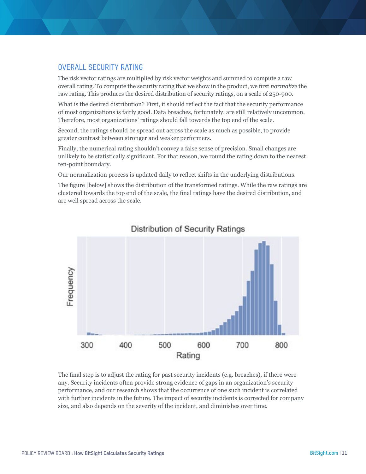## OVERALL SECURITY RATING

The risk vector ratings are multiplied by risk vector weights and summed to compute a raw overall rating. To compute the security rating that we show in the product, we first *normalize* the raw rating. This produces the desired distribution of security ratings, on a scale of 250-900.

What is the desired distribution? First, it should reflect the fact that the security performance of most organizations is fairly good. Data breaches, fortunately, are still relatively uncommon. Therefore, most organizations' ratings should fall towards the top end of the scale.

Second, the ratings should be spread out across the scale as much as possible, to provide greater contrast between stronger and weaker performers.

Finally, the numerical rating shouldn't convey a false sense of precision. Small changes are unlikely to be statistically significant. For that reason, we round the rating down to the nearest ten-point boundary.

Our normalization process is updated daily to reflect shifts in the underlying distributions.

The figure [below] shows the distribution of the transformed ratings. While the raw ratings are clustered towards the top end of the scale, the final ratings have the desired distribution, and are well spread across the scale.



# **Distribution of Security Ratings**

The final step is to adjust the rating for past security incidents (e.g. breaches), if there were any. Security incidents often provide strong evidence of gaps in an organization's security performance, and our research shows that the occurrence of one such incident is correlated with further incidents in the future. The impact of security incidents is corrected for company size, and also depends on the severity of the incident, and diminishes over time.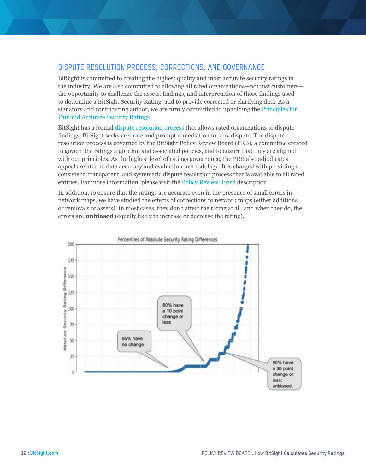# DISPUTE RESOLUTION PROCESS, CORRECTIONS, AND GOVERNANCE

BitSight is committed to creating the highest quality and most accurate security ratings in the industry. We are also committed to allowing all rated organizations—not just customers the opportunity to challenge the assets, findings, and interpretation of those findings used to determine a BitSight Security Rating, and to provide corrected or clarifying data. As a signatory and contributing author, we are firmly committed to upholding the [Principles for](https://www.bitsight.com/security-ratings-principles)  [Fair and Accurate Security Ratings](https://www.bitsight.com/security-ratings-principles).

BitSight has a formal [dispute resolution process](https://www.bitsight.com/bitsights-methodology-and-governance-process) that allows rated organizations to dispute findings. BitSight seeks accurate and prompt remediation for any dispute. The dispute resolution process is governed by the BitSight Policy Review Board (PRB), a committee created to govern the ratings algorithm and associated policies, and to ensure that they are aligned with our principles. As the highest level of ratings governance, the PRB also adjudicates appeals related to data accuracy and evaluation methodology. It is charged with providing a consistent, transparent, and systematic dispute resolution process that is available to all rated entities. For more information, please visit the [Policy Review Board](https://www.bitsight.com/bitsights-methodology-and-governance-process) description.

In addition, to ensure that the ratings are accurate even in the presence of small errors in network maps, we have studied the effects of corrections to network maps (either additions or removals of assets). In most cases, they don't affect the rating at all, and when they do, the errors are **unbiased** (equally likely to increase or decrease the rating).

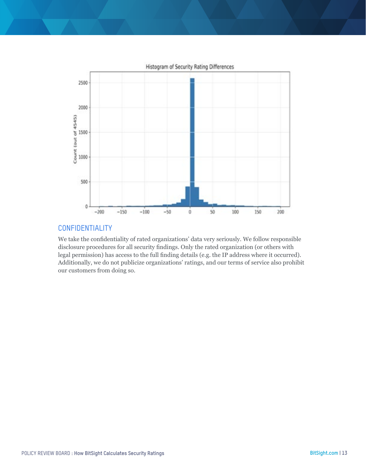

## CONFIDENTIALITY

We take the confidentiality of rated organizations' data very seriously. We follow responsible disclosure procedures for all security findings. Only the rated organization (or others with legal permission) has access to the full finding details (e.g. the IP address where it occurred). Additionally, we do not publicize organizations' ratings, and our terms of service also prohibit our customers from doing so.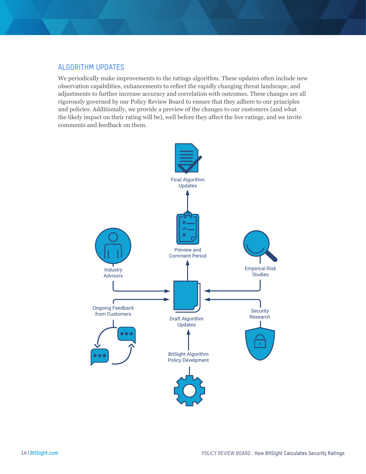## ALGORITHM UPDATES

We periodically make improvements to the ratings algorithm. These updates often include new observation capabilities, enhancements to reflect the rapidly changing threat landscape, and adjustments to further increase accuracy and correlation with outcomes. These changes are all rigorously governed by our Policy Review Board to ensure that they adhere to our principles and policies. Additionally, we provide a preview of the changes to our customers (and what the likely impact on their rating will be), well before they affect the live ratings, and we invite comments and feedback on them.

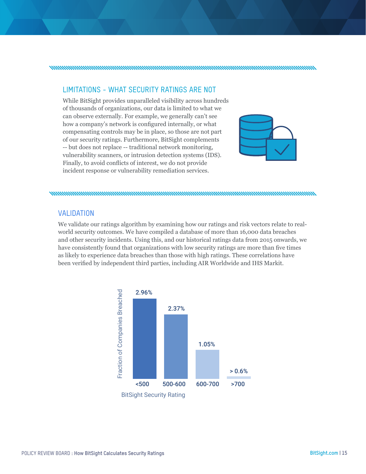#### 

## LIMITATIONS - WHAT SECURITY RATINGS ARE NOT

While BitSight provides unparalleled visibility across hundreds of thousands of organizations, our data is limited to what we can observe externally. For example, we generally can't see how a company's network is configured internally, or what compensating controls may be in place, so those are not part of our security ratings. Furthermore, BitSight complements **1 10.5 10.5 <b>10.5 • 10.5 • 10.5 • 10.5 • 10.5 • 10.5 • 10.5 • 10.5 • 10.5 • 10.5 • 10.5 • 10.5 • 10.5 • 10.5 • 10.5 • 10.5 • 10.5 • 10.5 • 10.5 • 10.5 • 10.5 • 10.5 • 10.5 •** vulnerability scanners, or intrusion detection systems (IDS). Finally, to avoid conflicts of interest, we do not provide incident response or vulnerability remediation services.



#### 

#### VALIDATION

**55% 10% 35%** world security outcomes. We have compiled a database of more than 16,000 data breaches We validate our ratings algorithm by examining how our ratings and risk vectors relate to realand other security incidents. Using this, and our historical ratings data from 2015 onwards, we have consistently found that organizations with low security ratings are more than five times as likely to experience data breaches than those with high ratings. These correlations have been verified by independent third parties, including AIR Worldwide and IHS Markit.